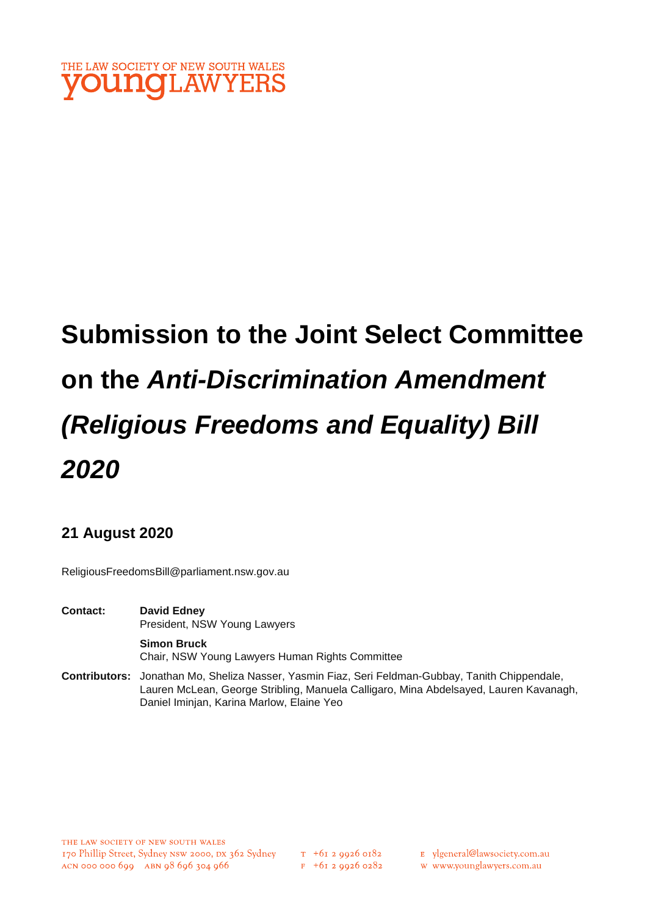

# **Submission to the Joint Select Committee on the** *Anti-Discrimination Amendment (Religious Freedoms and Equality) Bill 2020*

# **21 August 2020**

ReligiousFreedomsBill@parliament.nsw.gov.au

**Contact: David Edney**  President, NSW Young Lawyers

> **Simon Bruck**  Chair, NSW Young Lawyers Human Rights Committee

**Contributors:** Jonathan Mo, Sheliza Nasser, Yasmin Fiaz, Seri Feldman-Gubbay, Tanith Chippendale, Lauren McLean, George Stribling, Manuela Calligaro, Mina Abdelsayed, Lauren Kavanagh, Daniel Iminjan, Karina Marlow, Elaine Yeo

- E ylgeneral@lawsociety.com.au
- w www.younglawyers.com.au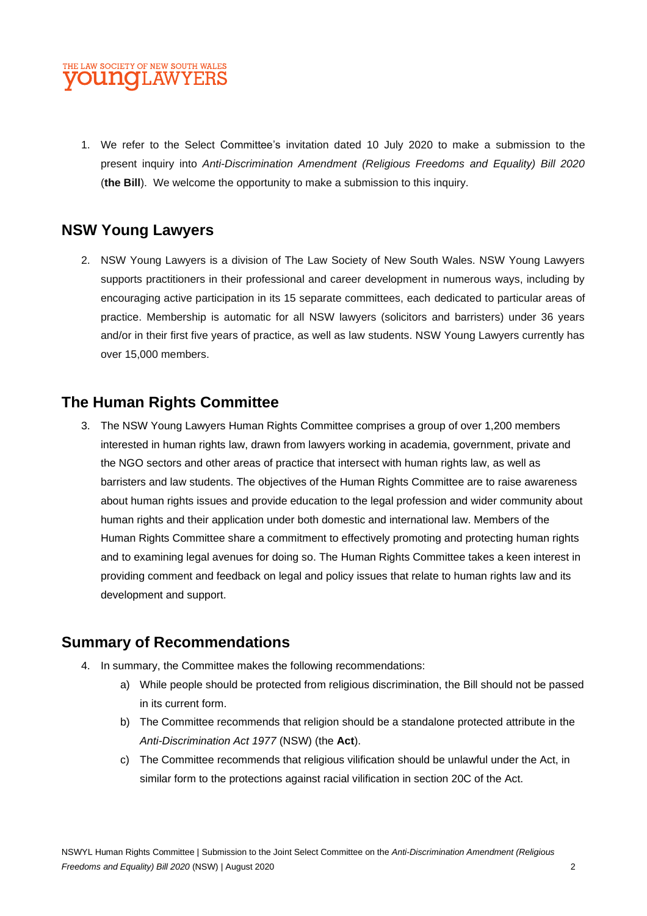#### THE LAW SOCIETY OF NEW SOUTH WALES **OUNCLAWYERS**

1. We refer to the Select Committee's invitation dated 10 July 2020 to make a submission to the present inquiry into *Anti-Discrimination Amendment (Religious Freedoms and Equality) Bill 2020* (**the Bill**). We welcome the opportunity to make a submission to this inquiry.

# **NSW Young Lawyers**

2. NSW Young Lawyers is a division of The Law Society of New South Wales. NSW Young Lawyers supports practitioners in their professional and career development in numerous ways, including by encouraging active participation in its 15 separate committees, each dedicated to particular areas of practice. Membership is automatic for all NSW lawyers (solicitors and barristers) under 36 years and/or in their first five years of practice, as well as law students. NSW Young Lawyers currently has over 15,000 members.

# **The Human Rights Committee**

3. The NSW Young Lawyers Human Rights Committee comprises a group of over 1,200 members interested in human rights law, drawn from lawyers working in academia, government, private and the NGO sectors and other areas of practice that intersect with human rights law, as well as barristers and law students. The objectives of the Human Rights Committee are to raise awareness about human rights issues and provide education to the legal profession and wider community about human rights and their application under both domestic and international law. Members of the Human Rights Committee share a commitment to effectively promoting and protecting human rights and to examining legal avenues for doing so. The Human Rights Committee takes a keen interest in providing comment and feedback on legal and policy issues that relate to human rights law and its development and support.

# **Summary of Recommendations**

- 4. In summary, the Committee makes the following recommendations:
	- a) While people should be protected from religious discrimination, the Bill should not be passed in its current form.
	- b) The Committee recommends that religion should be a standalone protected attribute in the *Anti-Discrimination Act 1977* (NSW) (the **Act**).
	- c) The Committee recommends that religious vilification should be unlawful under the Act, in similar form to the protections against racial vilification in section 20C of the Act.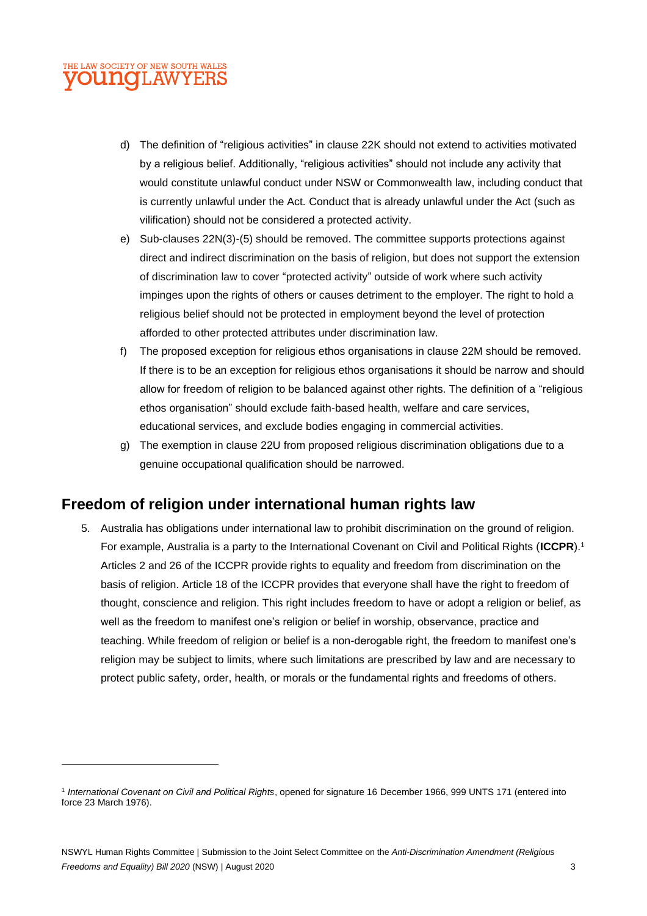#### THE LAW SOCIETY OF NEW SOUTH WALES **JUNCIL AWYERS**

- d) The definition of "religious activities" in clause 22K should not extend to activities motivated by a religious belief. Additionally, "religious activities" should not include any activity that would constitute unlawful conduct under NSW or Commonwealth law, including conduct that is currently unlawful under the Act. Conduct that is already unlawful under the Act (such as vilification) should not be considered a protected activity.
- e) Sub-clauses 22N(3)-(5) should be removed. The committee supports protections against direct and indirect discrimination on the basis of religion, but does not support the extension of discrimination law to cover "protected activity" outside of work where such activity impinges upon the rights of others or causes detriment to the employer. The right to hold a religious belief should not be protected in employment beyond the level of protection afforded to other protected attributes under discrimination law.
- f) The proposed exception for religious ethos organisations in clause 22M should be removed. If there is to be an exception for religious ethos organisations it should be narrow and should allow for freedom of religion to be balanced against other rights. The definition of a "religious ethos organisation" should exclude faith-based health, welfare and care services, educational services, and exclude bodies engaging in commercial activities.
- g) The exemption in clause 22U from proposed religious discrimination obligations due to a genuine occupational qualification should be narrowed.

# **Freedom of religion under international human rights law**

5. Australia has obligations under international law to prohibit discrimination on the ground of religion. For example, Australia is a party to the International Covenant on Civil and Political Rights (**ICCPR**).<sup>1</sup> Articles 2 and 26 of the ICCPR provide rights to equality and freedom from discrimination on the basis of religion. Article 18 of the ICCPR provides that everyone shall have the right to freedom of thought, conscience and religion. This right includes freedom to have or adopt a religion or belief, as well as the freedom to manifest one's religion or belief in worship, observance, practice and teaching. While freedom of religion or belief is a non-derogable right, the freedom to manifest one's religion may be subject to limits, where such limitations are prescribed by law and are necessary to protect public safety, order, health, or morals or the fundamental rights and freedoms of others.

<sup>1</sup> *International Covenant on Civil and Political Rights*, opened for signature 16 December 1966, 999 UNTS 171 (entered into force 23 March 1976).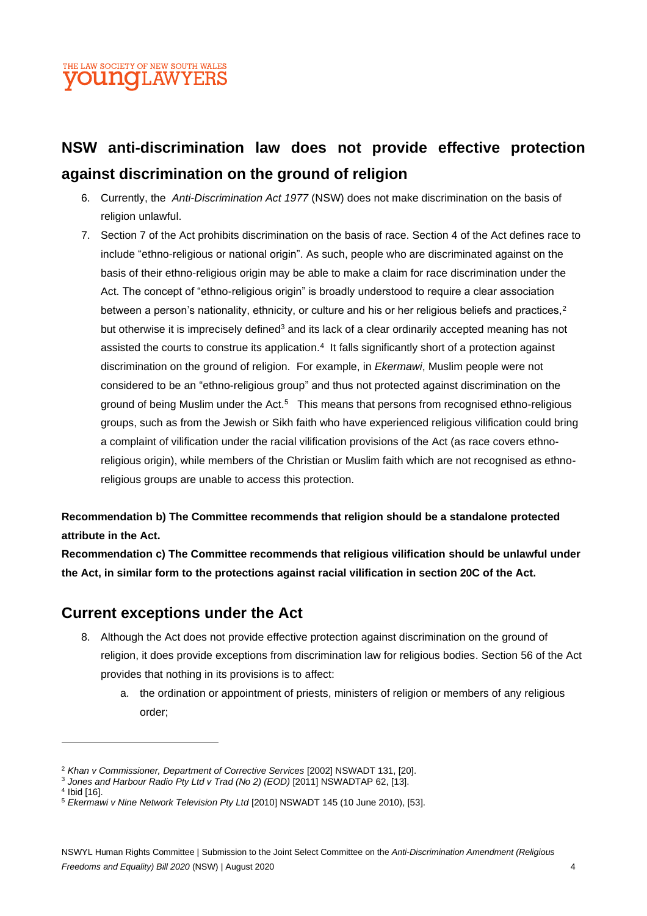# THE LAW SOCIETY OF NEW SOUTH WALES DU MOTLAW YERS

# **NSW anti-discrimination law does not provide effective protection against discrimination on the ground of religion**

- 6. Currently, the *Anti-Discrimination Act 1977* (NSW) does not make discrimination on the basis of religion unlawful.
- 7. Section 7 of the Act prohibits discrimination on the basis of race. Section 4 of the Act defines race to include "ethno-religious or national origin". As such, people who are discriminated against on the basis of their ethno-religious origin may be able to make a claim for race discrimination under the Act. The concept of "ethno-religious origin" is broadly understood to require a clear association between a person's nationality, ethnicity, or culture and his or her religious beliefs and practices,<sup>2</sup> but otherwise it is imprecisely defined<sup>3</sup> and its lack of a clear ordinarily accepted meaning has not assisted the courts to construe its application.<sup>4</sup> It falls significantly short of a protection against discrimination on the ground of religion. For example, in *Ekermawi*, Muslim people were not considered to be an "ethno-religious group" and thus not protected against discrimination on the ground of being Muslim under the Act.<sup>5</sup> This means that persons from recognised ethno-religious groups, such as from the Jewish or Sikh faith who have experienced religious vilification could bring a complaint of vilification under the racial vilification provisions of the Act (as race covers ethnoreligious origin), while members of the Christian or Muslim faith which are not recognised as ethnoreligious groups are unable to access this protection.

**Recommendation b) The Committee recommends that religion should be a standalone protected attribute in the Act.**

**Recommendation c) The Committee recommends that religious vilification should be unlawful under the Act, in similar form to the protections against racial vilification in section 20C of the Act.**

# **Current exceptions under the Act**

- 8. Although the Act does not provide effective protection against discrimination on the ground of religion, it does provide exceptions from discrimination law for religious bodies. Section 56 of the Act provides that nothing in its provisions is to affect:
	- a. the ordination or appointment of priests, ministers of religion or members of any religious order;

4 Ibid [16].

<sup>2</sup> *Khan v Commissioner, Department of Corrective Services* [2002] NSWADT 131, [20].

<sup>3</sup> *Jones and Harbour Radio Pty Ltd v Trad (No 2) (EOD)* [2011] NSWADTAP 62, [13].

<sup>5</sup> *Ekermawi v Nine Network Television Pty Ltd* [2010] NSWADT 145 (10 June 2010), [53].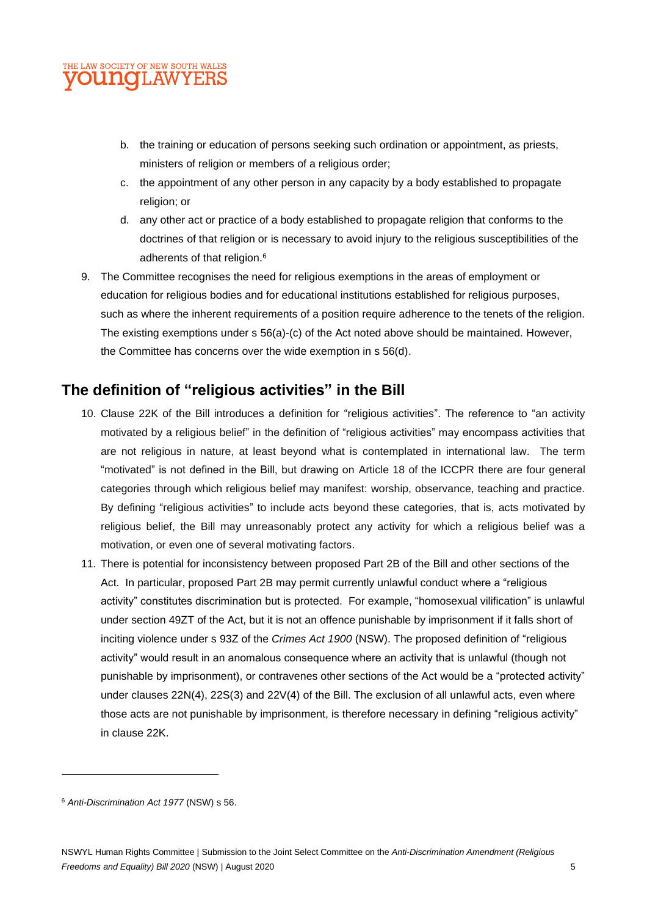#### THE LAW SOCIETY OF NEW SOUTH WALES **OUNG**LAWYERS

- b. the training or education of persons seeking such ordination or appointment, as priests, ministers of religion or members of a religious order;
- c. the appointment of any other person in any capacity by a body established to propagate religion; or
- d. any other act or practice of a body established to propagate religion that conforms to the doctrines of that religion or is necessary to avoid injury to the religious susceptibilities of the adherents of that religion.<sup>6</sup>
- 9. The Committee recognises the need for religious exemptions in the areas of employment or education for religious bodies and for educational institutions established for religious purposes, such as where the inherent requirements of a position require adherence to the tenets of the religion. The existing exemptions under s 56(a)-(c) of the Act noted above should be maintained. However, the Committee has concerns over the wide exemption in s 56(d).

# **The definition of "religious activities" in the Bill**

- 10. Clause 22K of the Bill introduces a definition for "religious activities". The reference to "an activity motivated by a religious belief" in the definition of "religious activities" may encompass activities that are not religious in nature, at least beyond what is contemplated in international law. The term "motivated" is not defined in the Bill, but drawing on Article 18 of the ICCPR there are four general categories through which religious belief may manifest: worship, observance, teaching and practice. By defining "religious activities" to include acts beyond these categories, that is, acts motivated by religious belief, the Bill may unreasonably protect any activity for which a religious belief was a motivation, or even one of several motivating factors.
- 11. There is potential for inconsistency between proposed Part 2B of the Bill and other sections of the Act. In particular, proposed Part 2B may permit currently unlawful conduct where a "religious activity" constitutes discrimination but is protected. For example, "homosexual vilification" is unlawful under section 49ZT of the Act, but it is not an offence punishable by imprisonment if it falls short of inciting violence under s 93Z of the *Crimes Act 1900* (NSW). The proposed definition of "religious activity" would result in an anomalous consequence where an activity that is unlawful (though not punishable by imprisonment), or contravenes other sections of the Act would be a "protected activity" under clauses 22N(4), 22S(3) and 22V(4) of the Bill. The exclusion of all unlawful acts, even where those acts are not punishable by imprisonment, is therefore necessary in defining "religious activity" in clause 22K.

<sup>6</sup> *Anti-Discrimination Act 1977* (NSW) s 56.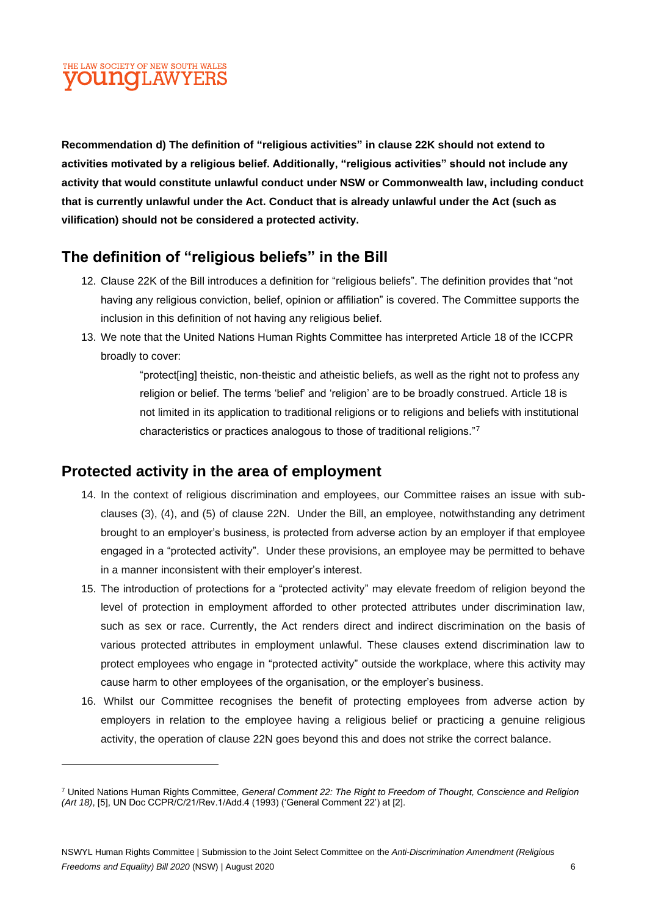# THE LAW SOCIETY OF NEW SOUTH WALES **OUNCLAWYERS**

**Recommendation d) The definition of "religious activities" in clause 22K should not extend to activities motivated by a religious belief. Additionally, "religious activities" should not include any activity that would constitute unlawful conduct under NSW or Commonwealth law, including conduct that is currently unlawful under the Act. Conduct that is already unlawful under the Act (such as vilification) should not be considered a protected activity.** 

# **The definition of "religious beliefs" in the Bill**

- 12. Clause 22K of the Bill introduces a definition for "religious beliefs". The definition provides that "not having any religious conviction, belief, opinion or affiliation" is covered. The Committee supports the inclusion in this definition of not having any religious belief.
- 13. We note that the United Nations Human Rights Committee has interpreted Article 18 of the ICCPR broadly to cover:

"protect[ing] theistic, non-theistic and atheistic beliefs, as well as the right not to profess any religion or belief. The terms 'belief' and 'religion' are to be broadly construed. Article 18 is not limited in its application to traditional religions or to religions and beliefs with institutional characteristics or practices analogous to those of traditional religions."<sup>7</sup>

# **Protected activity in the area of employment**

- 14. In the context of religious discrimination and employees, our Committee raises an issue with subclauses (3), (4), and (5) of clause 22N. Under the Bill, an employee, notwithstanding any detriment brought to an employer's business, is protected from adverse action by an employer if that employee engaged in a "protected activity". Under these provisions, an employee may be permitted to behave in a manner inconsistent with their employer's interest.
- 15. The introduction of protections for a "protected activity" may elevate freedom of religion beyond the level of protection in employment afforded to other protected attributes under discrimination law, such as sex or race. Currently, the Act renders direct and indirect discrimination on the basis of various protected attributes in employment unlawful. These clauses extend discrimination law to protect employees who engage in "protected activity" outside the workplace, where this activity may cause harm to other employees of the organisation, or the employer's business.
- 16. Whilst our Committee recognises the benefit of protecting employees from adverse action by employers in relation to the employee having a religious belief or practicing a genuine religious activity, the operation of clause 22N goes beyond this and does not strike the correct balance.

<sup>7</sup> United Nations Human Rights Committee, *General Comment 22: The Right to Freedom of Thought, Conscience and Religion (Art 18)*, [5], UN Doc CCPR/C/21/Rev.1/Add.4 (1993) ('General Comment 22') at [2].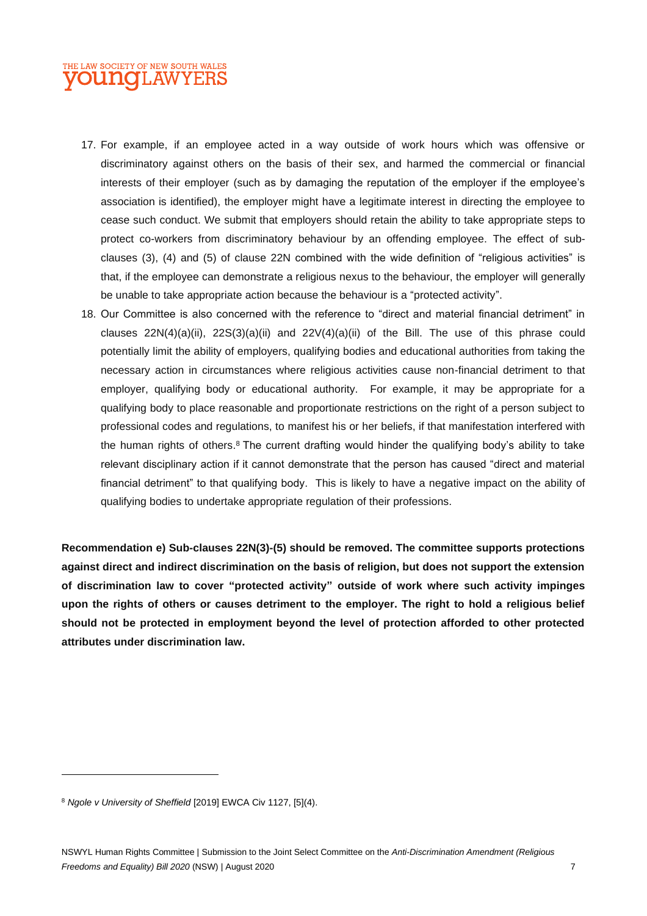#### THE LAW SOCIETY OF NEW SOUTH WALES OUNO LAWYERS

- 17. For example, if an employee acted in a way outside of work hours which was offensive or discriminatory against others on the basis of their sex, and harmed the commercial or financial interests of their employer (such as by damaging the reputation of the employer if the employee's association is identified), the employer might have a legitimate interest in directing the employee to cease such conduct. We submit that employers should retain the ability to take appropriate steps to protect co-workers from discriminatory behaviour by an offending employee. The effect of subclauses (3), (4) and (5) of clause 22N combined with the wide definition of "religious activities" is that, if the employee can demonstrate a religious nexus to the behaviour, the employer will generally be unable to take appropriate action because the behaviour is a "protected activity".
- 18. Our Committee is also concerned with the reference to "direct and material financial detriment" in clauses  $22N(4)(a)(ii)$ ,  $22S(3)(a)(ii)$  and  $22V(4)(a)(ii)$  of the Bill. The use of this phrase could potentially limit the ability of employers, qualifying bodies and educational authorities from taking the necessary action in circumstances where religious activities cause non-financial detriment to that employer, qualifying body or educational authority. For example, it may be appropriate for a qualifying body to place reasonable and proportionate restrictions on the right of a person subject to professional codes and regulations, to manifest his or her beliefs, if that manifestation interfered with the human rights of others.<sup>8</sup> The current drafting would hinder the qualifying body's ability to take relevant disciplinary action if it cannot demonstrate that the person has caused "direct and material financial detriment" to that qualifying body. This is likely to have a negative impact on the ability of qualifying bodies to undertake appropriate regulation of their professions.

**Recommendation e) Sub-clauses 22N(3)-(5) should be removed. The committee supports protections against direct and indirect discrimination on the basis of religion, but does not support the extension of discrimination law to cover "protected activity" outside of work where such activity impinges upon the rights of others or causes detriment to the employer. The right to hold a religious belief should not be protected in employment beyond the level of protection afforded to other protected attributes under discrimination law.**

<sup>8</sup> *Ngole v University of Sheffield* [2019] EWCA Civ 1127, [5](4).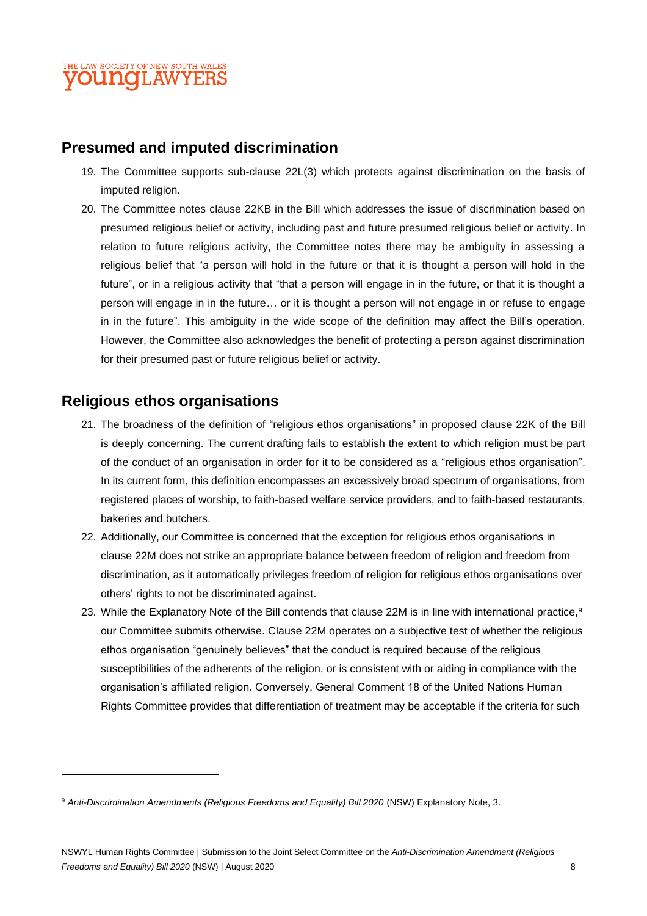# **Presumed and imputed discrimination**

- 19. The Committee supports sub-clause 22L(3) which protects against discrimination on the basis of imputed religion.
- 20. The Committee notes clause 22KB in the Bill which addresses the issue of discrimination based on presumed religious belief or activity, including past and future presumed religious belief or activity. In relation to future religious activity, the Committee notes there may be ambiguity in assessing a religious belief that "a person will hold in the future or that it is thought a person will hold in the future", or in a religious activity that "that a person will engage in in the future, or that it is thought a person will engage in in the future… or it is thought a person will not engage in or refuse to engage in in the future". This ambiguity in the wide scope of the definition may affect the Bill's operation. However, the Committee also acknowledges the benefit of protecting a person against discrimination for their presumed past or future religious belief or activity.

# **Religious ethos organisations**

- 21. The broadness of the definition of "religious ethos organisations" in proposed clause 22K of the Bill is deeply concerning. The current drafting fails to establish the extent to which religion must be part of the conduct of an organisation in order for it to be considered as a "religious ethos organisation". In its current form, this definition encompasses an excessively broad spectrum of organisations, from registered places of worship, to faith-based welfare service providers, and to faith-based restaurants, bakeries and butchers.
- 22. Additionally, our Committee is concerned that the exception for religious ethos organisations in clause 22M does not strike an appropriate balance between freedom of religion and freedom from discrimination, as it automatically privileges freedom of religion for religious ethos organisations over others' rights to not be discriminated against.
- 23. While the Explanatory Note of the Bill contends that clause 22M is in line with international practice,<sup>9</sup> our Committee submits otherwise. Clause 22M operates on a subjective test of whether the religious ethos organisation "genuinely believes" that the conduct is required because of the religious susceptibilities of the adherents of the religion, or is consistent with or aiding in compliance with the organisation's affiliated religion. Conversely, General Comment 18 of the United Nations Human Rights Committee provides that differentiation of treatment may be acceptable if the criteria for such

<sup>&</sup>lt;sup>9</sup> Anti-Discrimination Amendments (Religious Freedoms and Equality) Bill 2020 (NSW) Explanatory Note, 3.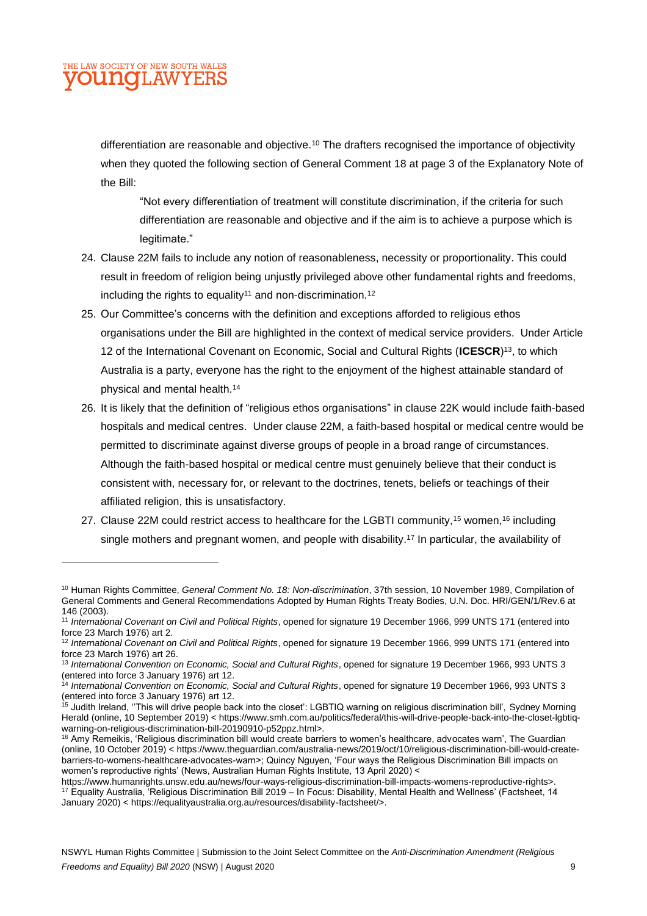#### THE LAW SOCIETY OF NEW SOUTH WALES **UNOLAWYE**

differentiation are reasonable and objective.<sup>10</sup> The drafters recognised the importance of objectivity when they quoted the following section of General Comment 18 at page 3 of the Explanatory Note of the Bill:

"Not every differentiation of treatment will constitute discrimination, if the criteria for such differentiation are reasonable and objective and if the aim is to achieve a purpose which is legitimate."

- 24. Clause 22M fails to include any notion of reasonableness, necessity or proportionality. This could result in freedom of religion being unjustly privileged above other fundamental rights and freedoms, including the rights to equality<sup>11</sup> and non-discrimination.<sup>12</sup>
- 25. Our Committee's concerns with the definition and exceptions afforded to religious ethos organisations under the Bill are highlighted in the context of medical service providers. Under Article 12 of the International Covenant on Economic, Social and Cultural Rights (**ICESCR**) <sup>13</sup>, to which Australia is a party, everyone has the right to the enjoyment of the highest attainable standard of physical and mental health.<sup>14</sup>
- 26. It is likely that the definition of "religious ethos organisations" in clause 22K would include faith-based hospitals and medical centres. Under clause 22M, a faith-based hospital or medical centre would be permitted to discriminate against diverse groups of people in a broad range of circumstances. Although the faith-based hospital or medical centre must genuinely believe that their conduct is consistent with, necessary for, or relevant to the doctrines, tenets, beliefs or teachings of their affiliated religion, this is unsatisfactory.
- 27. Clause 22M could restrict access to healthcare for the LGBTI community,<sup>15</sup> women,<sup>16</sup> including single mothers and pregnant women, and people with disability. <sup>17</sup> In particular, the availability of

<sup>10</sup> Human Rights Committee, *General Comment No. 18: Non-discrimination*, 37th session, 10 November 1989, Compilation of General Comments and General Recommendations Adopted by Human Rights Treaty Bodies, U.N. Doc. HRI/GEN/1/Rev.6 at 146 (2003).

<sup>11</sup> *International Covenant on Civil and Political Rights*, opened for signature 19 December 1966, 999 UNTS 171 (entered into force 23 March 1976) art 2.

<sup>12</sup> *International Covenant on Civil and Political Rights*, opened for signature 19 December 1966, 999 UNTS 171 (entered into force 23 March 1976) art 26.

<sup>13</sup> *International Convention on Economic, Social and Cultural Rights*, opened for signature 19 December 1966, 993 UNTS 3 (entered into force 3 January 1976) art 12.

<sup>14</sup> *International Convention on Economic, Social and Cultural Rights*, opened for signature 19 December 1966, 993 UNTS 3 (entered into force 3 January 1976) art 12.

<sup>&</sup>lt;sup>ìs</sup> Judith Ireland, ''This will drive people back into the closet': LGBTIQ warning on religious discrimination bill', Sydney Morning Herald (online, 10 September 2019) < https://www.smh.com.au/politics/federal/this-will-drive-people-back-into-the-closet-lgbtiqwarning-on-religious-discrimination-bill-20190910-p52ppz.html>.

<sup>&</sup>lt;sup>16</sup> Amy Remeikis, 'Religious discrimination bill would create barriers to women's healthcare, advocates warn', The Guardian (online, 10 October 2019) < https://www.theguardian.com/australia-news/2019/oct/10/religious-discrimination-bill-would-createbarriers-to-womens-healthcare-advocates-warn>; Quincy Nguyen, 'Four ways the Religious Discrimination Bill impacts on women's reproductive rights' (News, Australian Human Rights Institute, 13 April 2020) <

https://www.humanrights.unsw.edu.au/news/four-ways-religious-discrimination-bill-impacts-womens-reproductive-rights>. <sup>17</sup> Equality Australia, 'Religious Discrimination Bill 2019 – In Focus: Disability, Mental Health and Wellness' (Factsheet, 14 January 2020) < https://equalityaustralia.org.au/resources/disability-factsheet/>.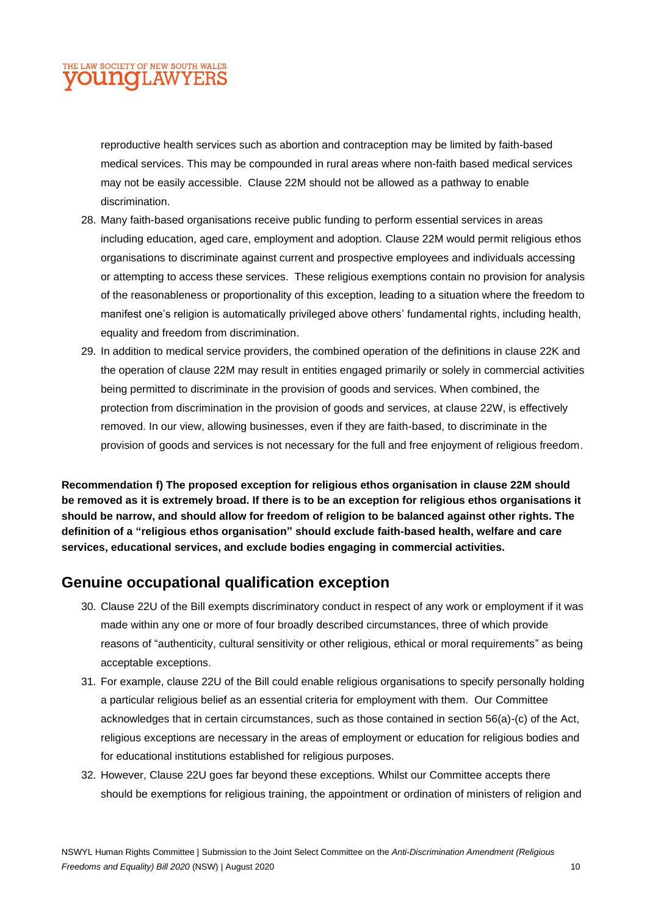#### THE LAW SOCIETY OF NEW SOUTH WALES **OU NOIL AWYERS**

reproductive health services such as abortion and contraception may be limited by faith-based medical services. This may be compounded in rural areas where non-faith based medical services may not be easily accessible. Clause 22M should not be allowed as a pathway to enable discrimination.

- 28. Many faith-based organisations receive public funding to perform essential services in areas including education, aged care, employment and adoption. Clause 22M would permit religious ethos organisations to discriminate against current and prospective employees and individuals accessing or attempting to access these services. These religious exemptions contain no provision for analysis of the reasonableness or proportionality of this exception, leading to a situation where the freedom to manifest one's religion is automatically privileged above others' fundamental rights, including health, equality and freedom from discrimination.
- 29. In addition to medical service providers, the combined operation of the definitions in clause 22K and the operation of clause 22M may result in entities engaged primarily or solely in commercial activities being permitted to discriminate in the provision of goods and services. When combined, the protection from discrimination in the provision of goods and services, at clause 22W, is effectively removed. In our view, allowing businesses, even if they are faith-based, to discriminate in the provision of goods and services is not necessary for the full and free enjoyment of religious freedom.

**Recommendation f) The proposed exception for religious ethos organisation in clause 22M should be removed as it is extremely broad. If there is to be an exception for religious ethos organisations it should be narrow, and should allow for freedom of religion to be balanced against other rights. The definition of a "religious ethos organisation" should exclude faith-based health, welfare and care services, educational services, and exclude bodies engaging in commercial activities.**

# **Genuine occupational qualification exception**

- 30. Clause 22U of the Bill exempts discriminatory conduct in respect of any work or employment if it was made within any one or more of four broadly described circumstances, three of which provide reasons of "authenticity, cultural sensitivity or other religious, ethical or moral requirements" as being acceptable exceptions.
- 31. For example, clause 22U of the Bill could enable religious organisations to specify personally holding a particular religious belief as an essential criteria for employment with them. Our Committee acknowledges that in certain circumstances, such as those contained in section 56(a)-(c) of the Act, religious exceptions are necessary in the areas of employment or education for religious bodies and for educational institutions established for religious purposes.
- 32. However, Clause 22U goes far beyond these exceptions. Whilst our Committee accepts there should be exemptions for religious training, the appointment or ordination of ministers of religion and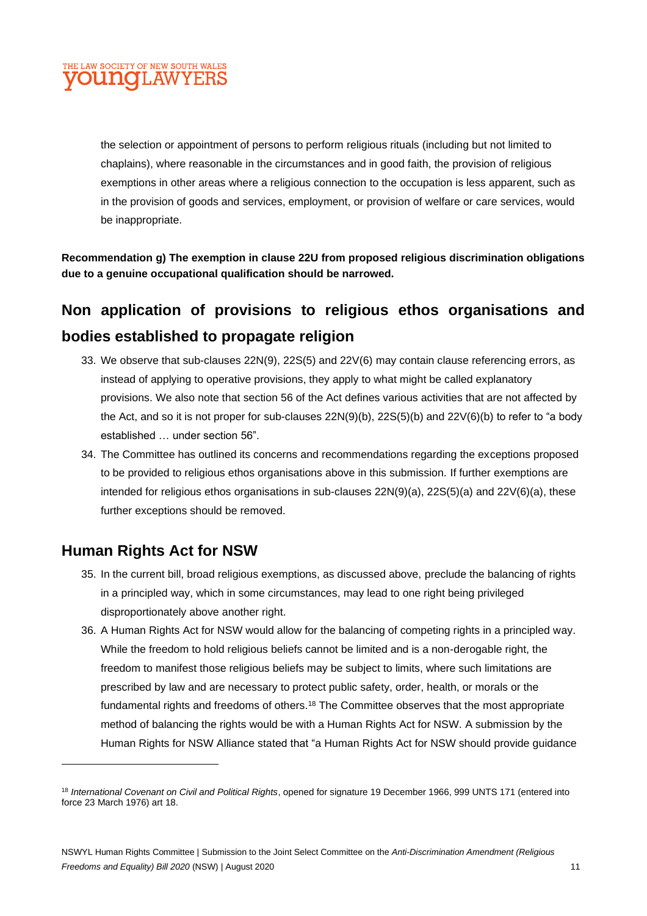

the selection or appointment of persons to perform religious rituals (including but not limited to chaplains), where reasonable in the circumstances and in good faith, the provision of religious exemptions in other areas where a religious connection to the occupation is less apparent, such as in the provision of goods and services, employment, or provision of welfare or care services, would be inappropriate.

**Recommendation g) The exemption in clause 22U from proposed religious discrimination obligations due to a genuine occupational qualification should be narrowed.**

# **Non application of provisions to religious ethos organisations and bodies established to propagate religion**

- 33. We observe that sub-clauses 22N(9), 22S(5) and 22V(6) may contain clause referencing errors, as instead of applying to operative provisions, they apply to what might be called explanatory provisions. We also note that section 56 of the Act defines various activities that are not affected by the Act, and so it is not proper for sub-clauses 22N(9)(b), 22S(5)(b) and 22V(6)(b) to refer to "a body established … under section 56".
- 34. The Committee has outlined its concerns and recommendations regarding the exceptions proposed to be provided to religious ethos organisations above in this submission. If further exemptions are intended for religious ethos organisations in sub-clauses 22N(9)(a), 22S(5)(a) and 22V(6)(a), these further exceptions should be removed.

# **Human Rights Act for NSW**

- 35. In the current bill, broad religious exemptions, as discussed above, preclude the balancing of rights in a principled way, which in some circumstances, may lead to one right being privileged disproportionately above another right.
- 36. A Human Rights Act for NSW would allow for the balancing of competing rights in a principled way. While the freedom to hold religious beliefs cannot be limited and is a non-derogable right, the freedom to manifest those religious beliefs may be subject to limits, where such limitations are prescribed by law and are necessary to protect public safety, order, health, or morals or the fundamental rights and freedoms of others.<sup>18</sup> The Committee observes that the most appropriate method of balancing the rights would be with a Human Rights Act for NSW. A submission by the Human Rights for NSW Alliance stated that "a Human Rights Act for NSW should provide guidance

<sup>18</sup> *International Covenant on Civil and Political Rights*, opened for signature 19 December 1966, 999 UNTS 171 (entered into force 23 March 1976) art 18.